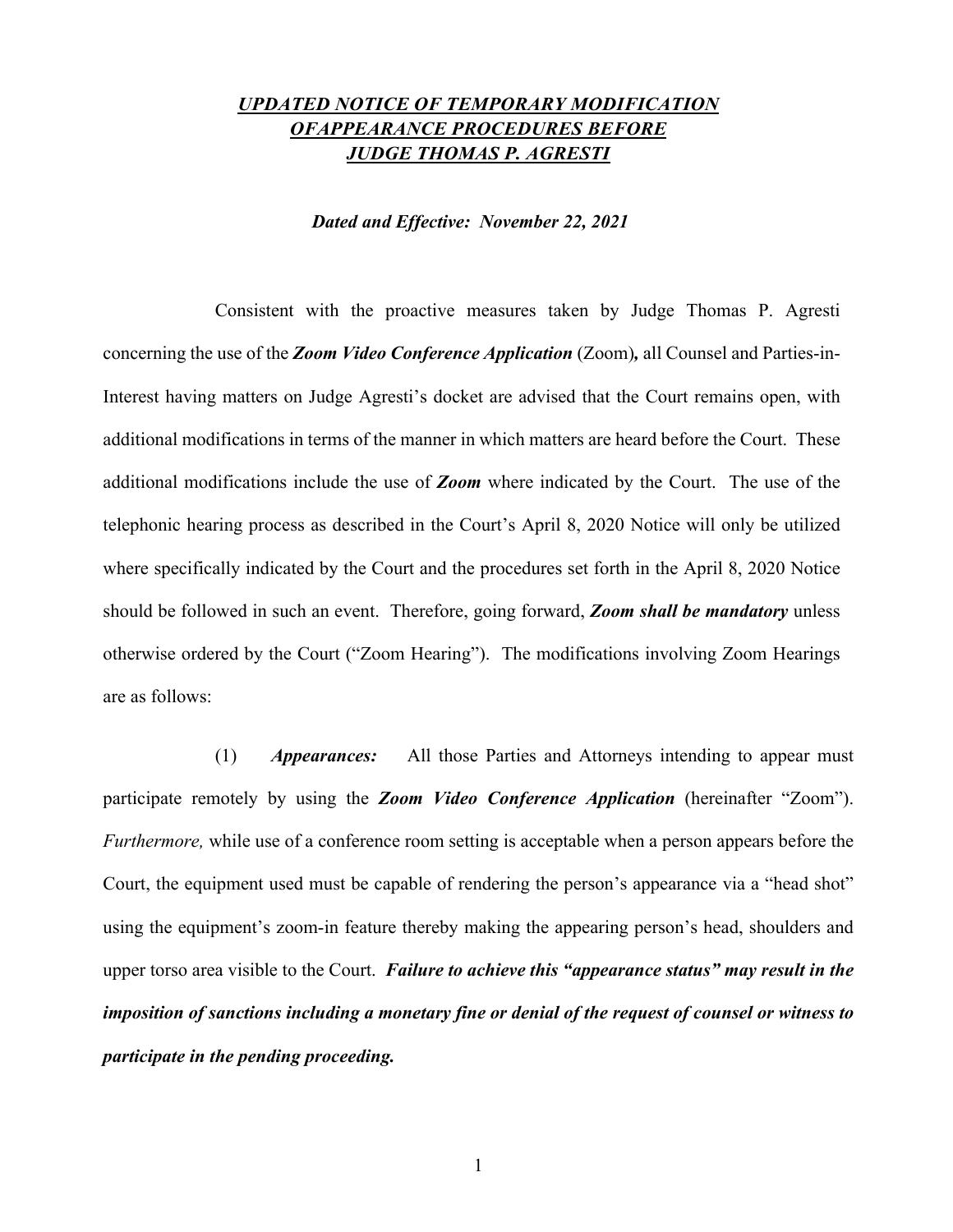## *UPDATED NOTICE OF TEMPORARY MODIFICATION OFAPPEARANCE PROCEDURES BEFORE JUDGE THOMAS P. AGRESTI*

#### *Dated and Effective: November 22, 2021*

Consistent with the proactive measures taken by Judge Thomas P. Agresti concerning the use of the *Zoom Video Conference Application* (Zoom)*,* all Counsel and Parties-in-Interest having matters on Judge Agresti's docket are advised that the Court remains open, with additional modifications in terms of the manner in which matters are heard before the Court. These additional modifications include the use of *Zoom* where indicated by the Court. The use of the telephonic hearing process as described in the Court's April 8, 2020 Notice will only be utilized where specifically indicated by the Court and the procedures set forth in the April 8, 2020 Notice should be followed in such an event. Therefore, going forward, *Zoom shall be mandatory* unless otherwise ordered by the Court ("Zoom Hearing"). The modifications involving Zoom Hearings are as follows:

(1) *Appearances:* All those Parties and Attorneys intending to appear must participate remotely by using the *Zoom Video Conference Application* (hereinafter "Zoom"). *Furthermore*, while use of a conference room setting is acceptable when a person appears before the Court, the equipment used must be capable of rendering the person's appearance via a "head shot" using the equipment's zoom-in feature thereby making the appearing person's head, shoulders and upper torso area visible to the Court. *Failure to achieve this "appearance status" may result in the imposition of sanctions including a monetary fine or denial of the request of counsel or witness to participate in the pending proceeding.*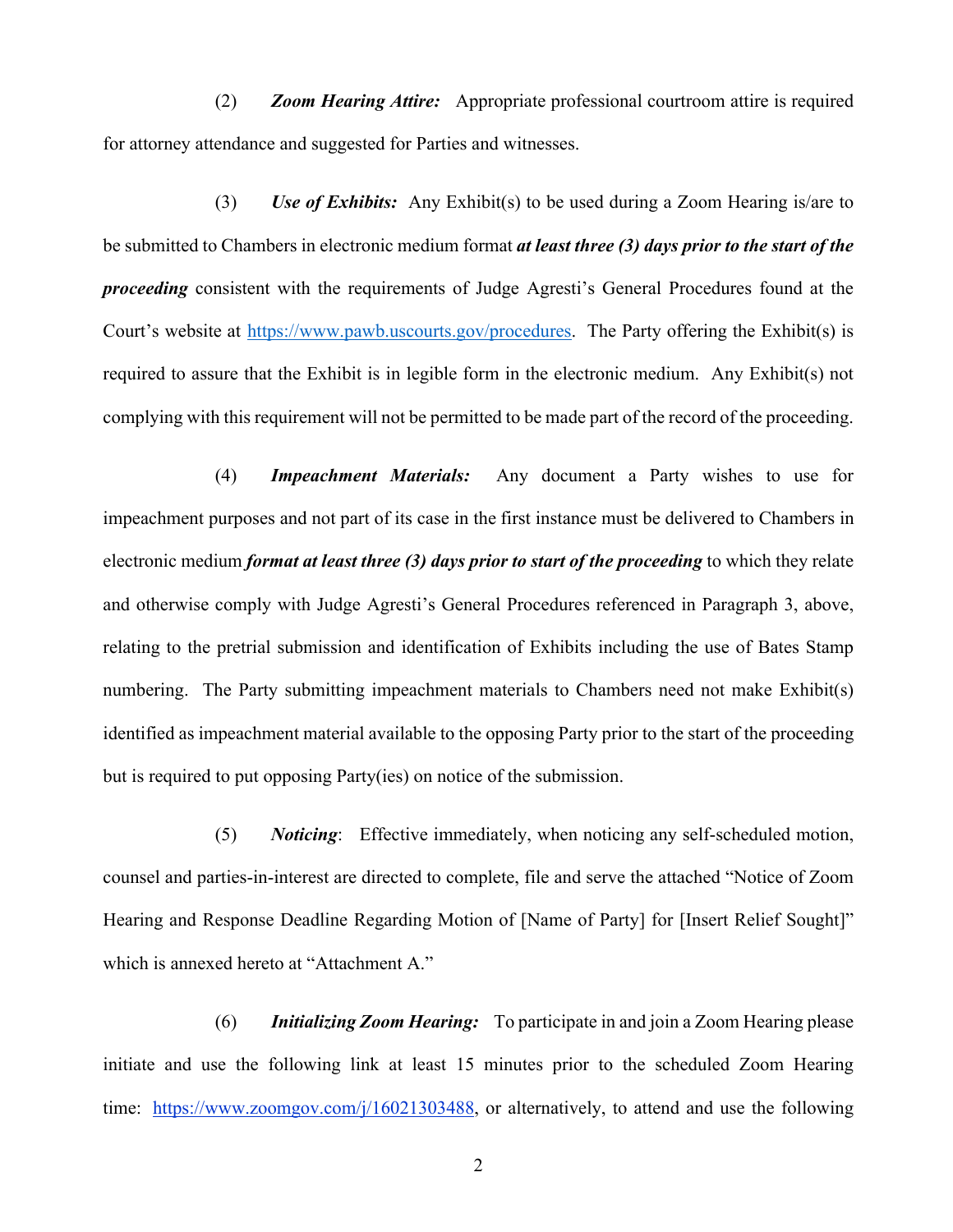(2) *Zoom Hearing Attire:* Appropriate professional courtroom attire is required for attorney attendance and suggested for Parties and witnesses.

(3) *Use of Exhibits:* Any Exhibit(s) to be used during a Zoom Hearing is/are to be submitted to Chambers in electronic medium format *at least three (3) days prior to the start of the proceeding* consistent with the requirements of Judge Agresti's General Procedures found at the Court's website at https://www.pawb.uscourts.gov/procedures. The Party offering the Exhibit(s) is required to assure that the Exhibit is in legible form in the electronic medium. Any Exhibit(s) not complying with this requirement will not be permitted to be made part of the record of the proceeding.

(4) *Impeachment Materials:* Any document a Party wishes to use for impeachment purposes and not part of its case in the first instance must be delivered to Chambers in electronic medium *format at least three (3) days prior to start of the proceeding* to which they relate and otherwise comply with Judge Agresti's General Procedures referenced in Paragraph 3, above, relating to the pretrial submission and identification of Exhibits including the use of Bates Stamp numbering. The Party submitting impeachment materials to Chambers need not make Exhibit(s) identified as impeachment material available to the opposing Party prior to the start of the proceeding but is required to put opposing Party(ies) on notice of the submission.

(5) *Noticing*: Effective immediately, when noticing any self-scheduled motion, counsel and parties-in-interest are directed to complete, file and serve the attached "Notice of Zoom Hearing and Response Deadline Regarding Motion of [Name of Party] for [Insert Relief Sought]" which is annexed hereto at "Attachment A."

(6) *Initializing Zoom Hearing:* To participate in and join a Zoom Hearing please initiate and use the following link at least 15 minutes prior to the scheduled Zoom Hearing time: https://www.zoomgov.com/j/16021303488, or alternatively, to attend and use the following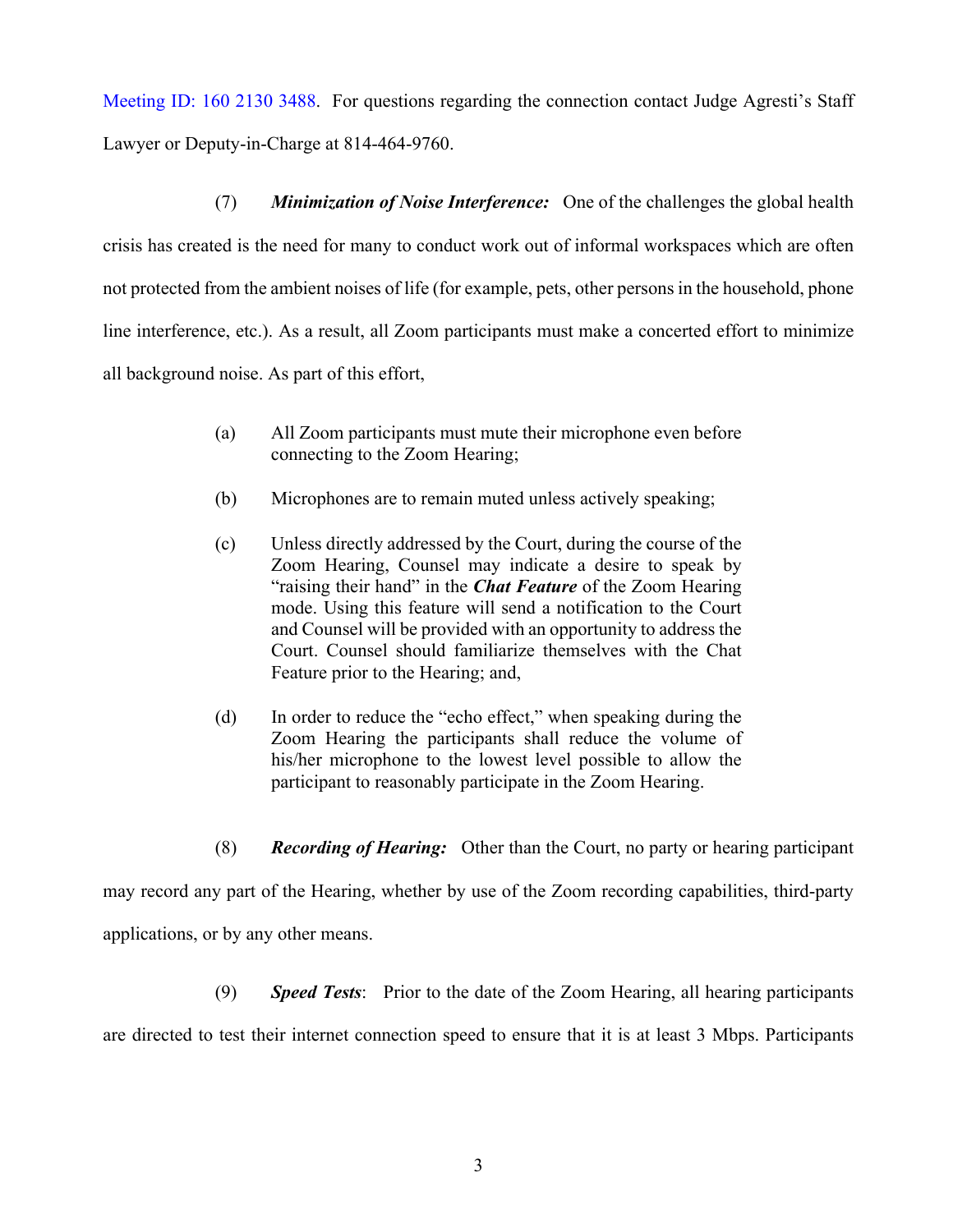Meeting ID: 160 2130 3488. For questions regarding the connection contact Judge Agresti's Staff

Lawyer or Deputy-in-Charge at 814-464-9760.

(7) *Minimization of Noise Interference:* One of the challenges the global health

crisis has created is the need for many to conduct work out of informal workspaces which are often not protected from the ambient noises of life (for example, pets, other persons in the household, phone line interference, etc.). As a result, all Zoom participants must make a concerted effort to minimize all background noise. As part of this effort,

- (a) All Zoom participants must mute their microphone even before connecting to the Zoom Hearing;
- (b) Microphones are to remain muted unless actively speaking;
- (c) Unless directly addressed by the Court, during the course of the Zoom Hearing, Counsel may indicate a desire to speak by "raising their hand" in the *Chat Feature* of the Zoom Hearing mode. Using this feature will send a notification to the Court and Counsel will be provided with an opportunity to address the Court. Counsel should familiarize themselves with the Chat Feature prior to the Hearing; and,
- (d) In order to reduce the "echo effect," when speaking during the Zoom Hearing the participants shall reduce the volume of his/her microphone to the lowest level possible to allow the participant to reasonably participate in the Zoom Hearing.
- (8) *Recording of Hearing:* Other than the Court, no party or hearing participant

may record any part of the Hearing, whether by use of the Zoom recording capabilities, third-party applications, or by any other means.

(9) *Speed Tests*: Prior to the date of the Zoom Hearing, all hearing participants

are directed to test their internet connection speed to ensure that it is at least 3 Mbps. Participants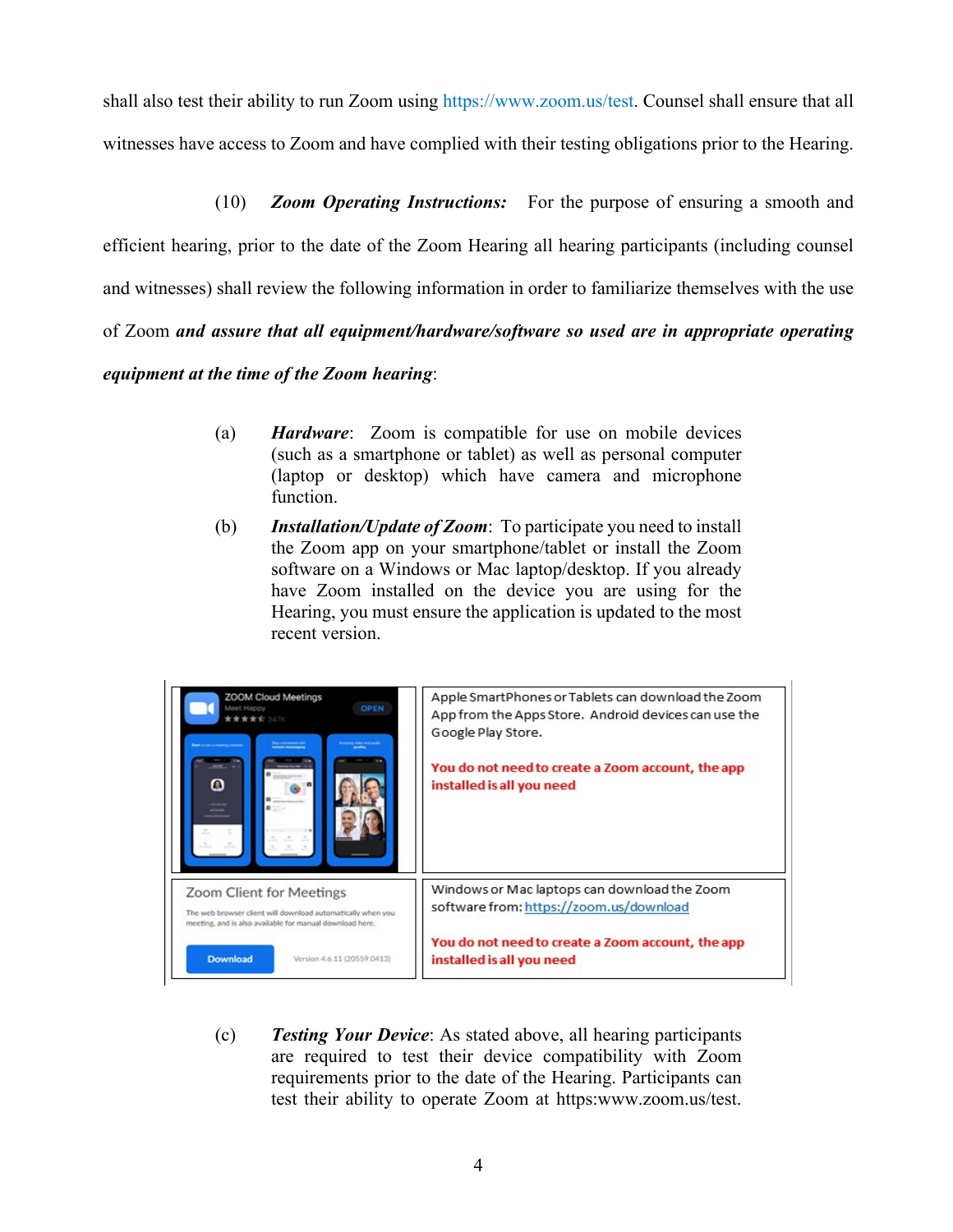shall also test their ability to run Zoom using https://www.zoom.us/test. Counsel shall ensure that all witnesses have access to Zoom and have complied with their testing obligations prior to the Hearing.

(10) *Zoom Operating Instructions:* For the purpose of ensuring a smooth and

efficient hearing, prior to the date of the Zoom Hearing all hearing participants (including counsel

and witnesses) shall review the following information in order to familiarize themselves with the use

of Zoom *and assure that all equipment/hardware/software so used are in appropriate operating* 

### *equipment at the time of the Zoom hearing*:

- (a) *Hardware*: Zoom is compatible for use on mobile devices (such as a smartphone or tablet) as well as personal computer (laptop or desktop) which have camera and microphone function.
- (b) *Installation/Update of Zoom*: To participate you need to install the Zoom app on your smartphone/tablet or install the Zoom software on a Windows or Mac laptop/desktop. If you already have Zoom installed on the device you are using for the Hearing, you must ensure the application is updated to the most recent version.



(c) *Testing Your Device*: As stated above, all hearing participants are required to test their device compatibility with Zoom requirements prior to the date of the Hearing. Participants can test their ability to operate Zoom at https:www.zoom.us/test.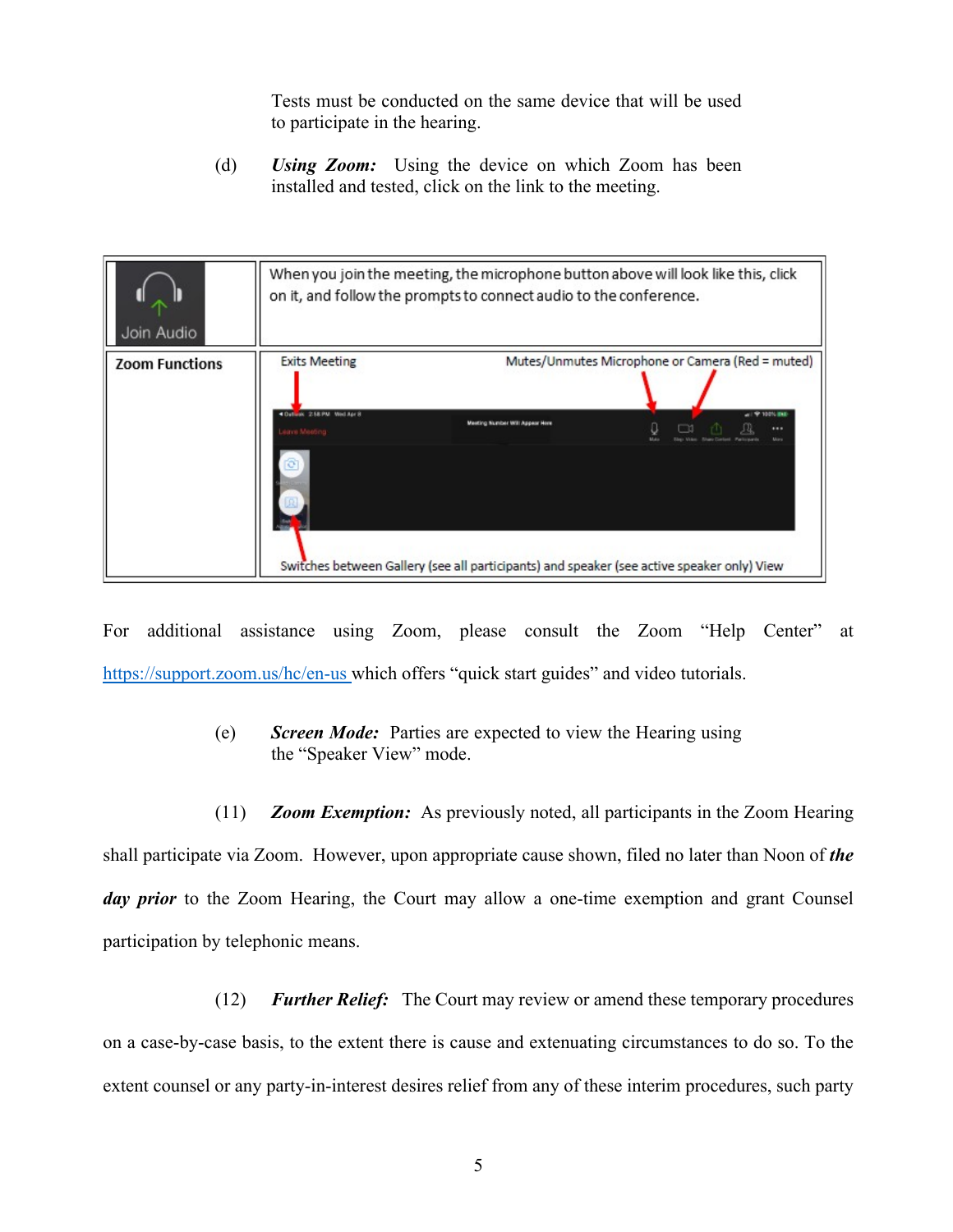Tests must be conducted on the same device that will be used to participate in the hearing.

(d) *Using Zoom:* Using the device on which Zoom has been installed and tested, click on the link to the meeting.



For additional assistance using Zoom, please consult the Zoom "Help Center" at https://support.zoom.us/hc/en-us which offers "quick start guides" and video tutorials.

- (e) *Screen Mode:*Parties are expected to view the Hearing using the "Speaker View" mode.
- (11) *Zoom Exemption:* As previously noted, all participants in the Zoom Hearing

shall participate via Zoom. However, upon appropriate cause shown, filed no later than Noon of *the*  day prior to the Zoom Hearing, the Court may allow a one-time exemption and grant Counsel participation by telephonic means.

(12) *Further Relief:* The Court may review or amend these temporary procedures on a case-by-case basis, to the extent there is cause and extenuating circumstances to do so. To the extent counsel or any party-in-interest desires relief from any of these interim procedures, such party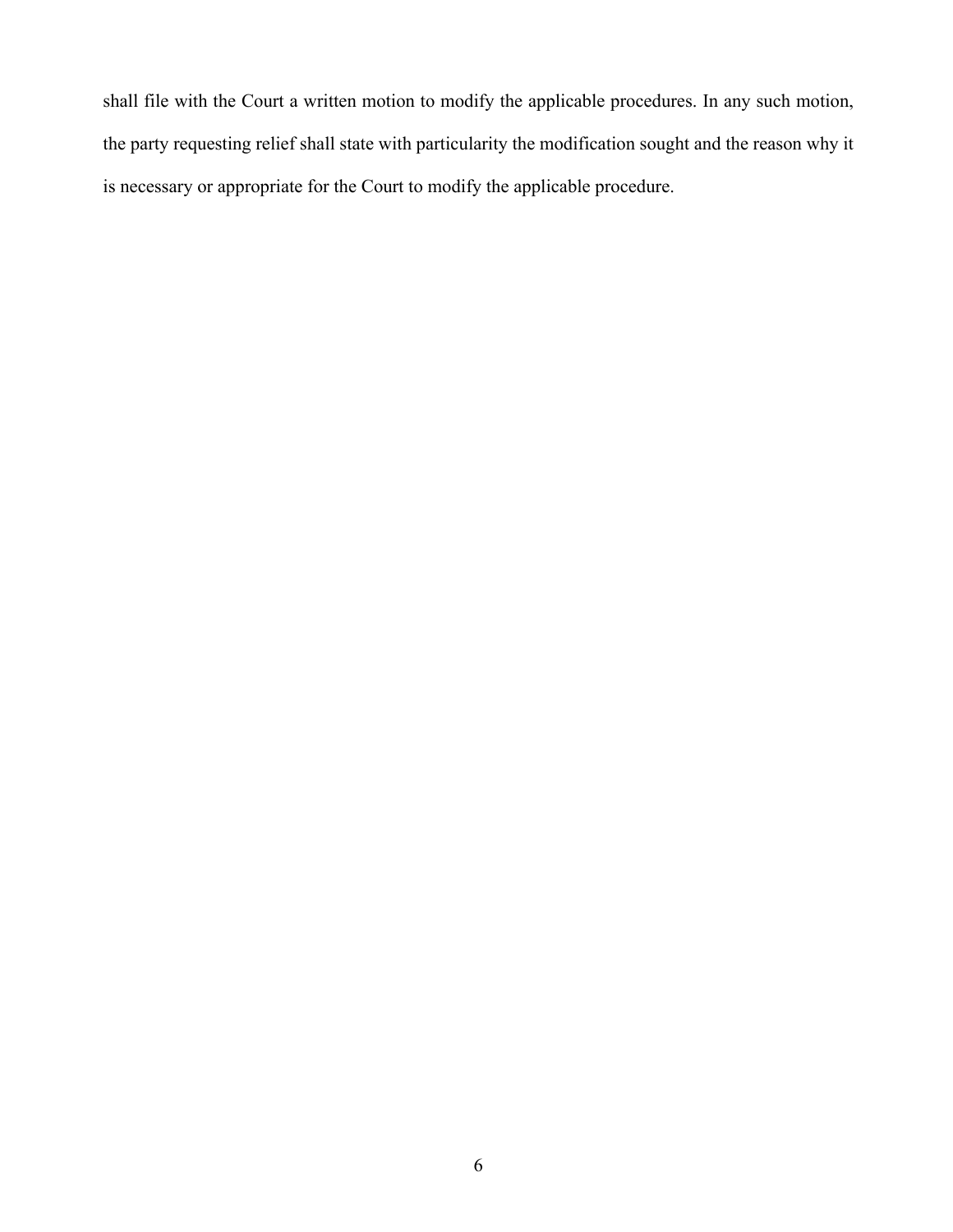shall file with the Court a written motion to modify the applicable procedures. In any such motion, the party requesting relief shall state with particularity the modification sought and the reason why it is necessary or appropriate for the Court to modify the applicable procedure.